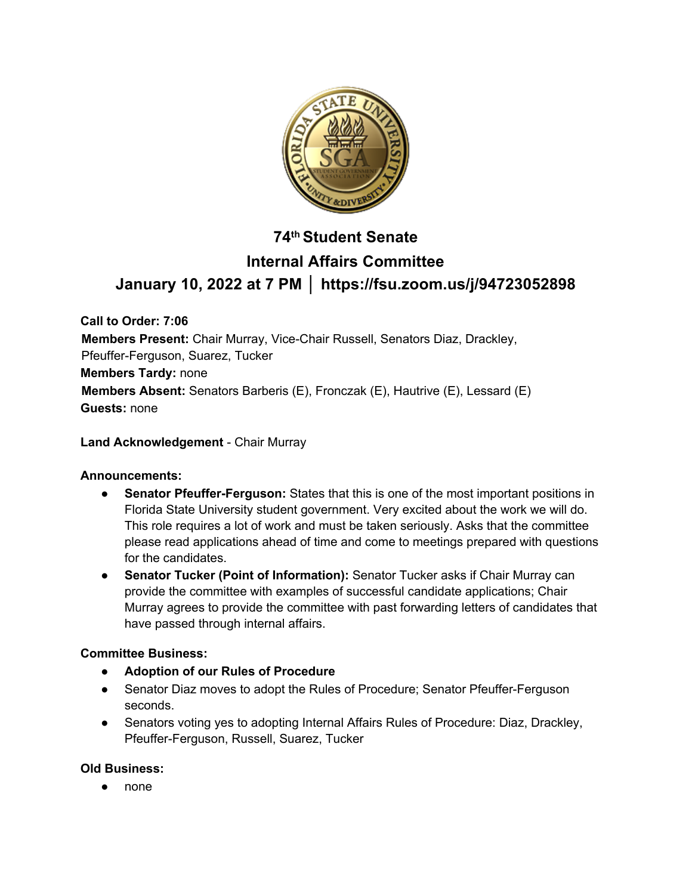

# **74th Student Senate Internal Affairs Committee January 10, 2022 at 7 PM │ https://fsu.zoom.us/j/94723052898**

**Call to Order: 7:06 Members Present:** Chair Murray, Vice-Chair Russell, Senators Diaz, Drackley, Pfeuffer-Ferguson, Suarez, Tucker **Members Tardy:** none **Members Absent:** Senators Barberis (E), Fronczak (E), Hautrive (E), Lessard (E) **Guests:** none

### **Land Acknowledgement** - Chair Murray

#### **Announcements:**

- **Senator Pfeuffer-Ferguson:** States that this is one of the most important positions in Florida State University student government. Very excited about the work we will do. This role requires a lot of work and must be taken seriously. Asks that the committee please read applications ahead of time and come to meetings prepared with questions for the candidates.
- **Senator Tucker (Point of Information):** Senator Tucker asks if Chair Murray can provide the committee with examples of successful candidate applications; Chair Murray agrees to provide the committee with past forwarding letters of candidates that have passed through internal affairs.

# **Committee Business:**

- **Adoption of our Rules of Procedure**
- Senator Diaz moves to adopt the Rules of Procedure; Senator Pfeuffer-Ferguson seconds.
- Senators voting yes to adopting Internal Affairs Rules of Procedure: Diaz, Drackley, Pfeuffer-Ferguson, Russell, Suarez, Tucker

# **Old Business:**

● none